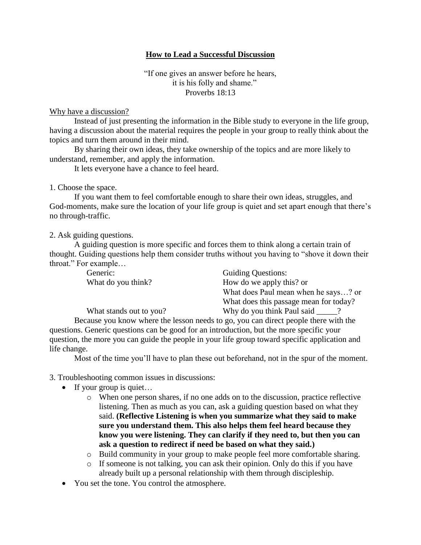## **How to Lead a Successful Discussion**

"If one gives an answer before he hears, it is his folly and shame." Proverbs 18:13

## Why have a discussion?

Instead of just presenting the information in the Bible study to everyone in the life group, having a discussion about the material requires the people in your group to really think about the topics and turn them around in their mind.

By sharing their own ideas, they take ownership of the topics and are more likely to understand, remember, and apply the information.

It lets everyone have a chance to feel heard.

1. Choose the space.

If you want them to feel comfortable enough to share their own ideas, struggles, and God-moments, make sure the location of your life group is quiet and set apart enough that there's no through-traffic.

2. Ask guiding questions.

A guiding question is more specific and forces them to think along a certain train of thought. Guiding questions help them consider truths without you having to "shove it down their throat." For example…

| Generic:                | <b>Guiding Questions:</b>              |
|-------------------------|----------------------------------------|
| What do you think?      | How do we apply this? or               |
|                         | What does Paul mean when he says? or   |
|                         | What does this passage mean for today? |
| What stands out to you? | Why do you think Paul said             |

Because you know where the lesson needs to go, you can direct people there with the questions. Generic questions can be good for an introduction, but the more specific your question, the more you can guide the people in your life group toward specific application and life change.

Most of the time you'll have to plan these out beforehand, not in the spur of the moment.

3. Troubleshooting common issues in discussions:

- If your group is quiet...
	- o When one person shares, if no one adds on to the discussion, practice reflective listening. Then as much as you can, ask a guiding question based on what they said. **(Reflective Listening is when you summarize what they said to make sure you understand them. This also helps them feel heard because they know you were listening. They can clarify if they need to, but then you can ask a question to redirect if need be based on what they said.)**
	- o Build community in your group to make people feel more comfortable sharing.
	- o If someone is not talking, you can ask their opinion. Only do this if you have already built up a personal relationship with them through discipleship.
- You set the tone. You control the atmosphere.